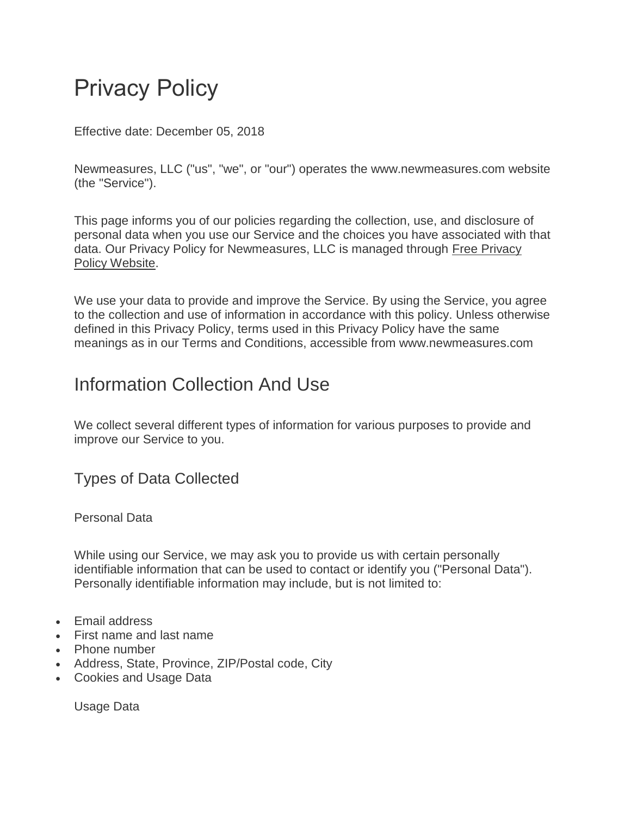# Privacy Policy

Effective date: December 05, 2018

Newmeasures, LLC ("us", "we", or "our") operates the www.newmeasures.com website (the "Service").

This page informs you of our policies regarding the collection, use, and disclosure of personal data when you use our Service and the choices you have associated with that data. Our Privacy Policy for Newmeasures, LLC is managed through Free Privacy [Policy Website.](https://www.freeprivacypolicy.com/free-privacy-policy-generator.php)

We use your data to provide and improve the Service. By using the Service, you agree to the collection and use of information in accordance with this policy. Unless otherwise defined in this Privacy Policy, terms used in this Privacy Policy have the same meanings as in our Terms and Conditions, accessible from www.newmeasures.com

#### Information Collection And Use

We collect several different types of information for various purposes to provide and improve our Service to you.

Types of Data Collected

Personal Data

While using our Service, we may ask you to provide us with certain personally identifiable information that can be used to contact or identify you ("Personal Data"). Personally identifiable information may include, but is not limited to:

- Email address
- First name and last name
- Phone number
- Address, State, Province, ZIP/Postal code, City
- Cookies and Usage Data

Usage Data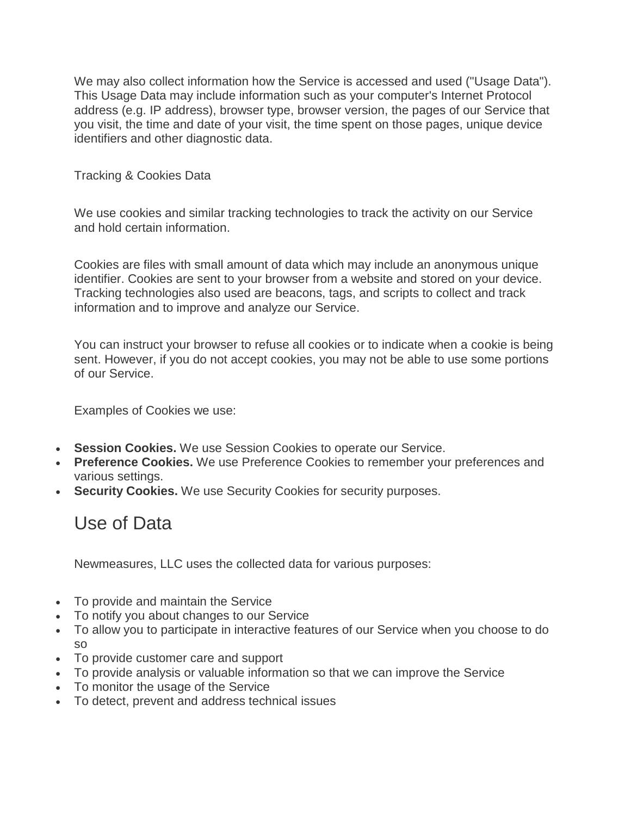We may also collect information how the Service is accessed and used ("Usage Data"). This Usage Data may include information such as your computer's Internet Protocol address (e.g. IP address), browser type, browser version, the pages of our Service that you visit, the time and date of your visit, the time spent on those pages, unique device identifiers and other diagnostic data.

Tracking & Cookies Data

We use cookies and similar tracking technologies to track the activity on our Service and hold certain information.

Cookies are files with small amount of data which may include an anonymous unique identifier. Cookies are sent to your browser from a website and stored on your device. Tracking technologies also used are beacons, tags, and scripts to collect and track information and to improve and analyze our Service.

You can instruct your browser to refuse all cookies or to indicate when a cookie is being sent. However, if you do not accept cookies, you may not be able to use some portions of our Service.

Examples of Cookies we use:

- **Session Cookies.** We use Session Cookies to operate our Service.
- **Preference Cookies.** We use Preference Cookies to remember your preferences and various settings.
- **Security Cookies.** We use Security Cookies for security purposes.

#### Use of Data

Newmeasures, LLC uses the collected data for various purposes:

- To provide and maintain the Service
- To notify you about changes to our Service
- To allow you to participate in interactive features of our Service when you choose to do so
- To provide customer care and support
- To provide analysis or valuable information so that we can improve the Service
- To monitor the usage of the Service
- To detect, prevent and address technical issues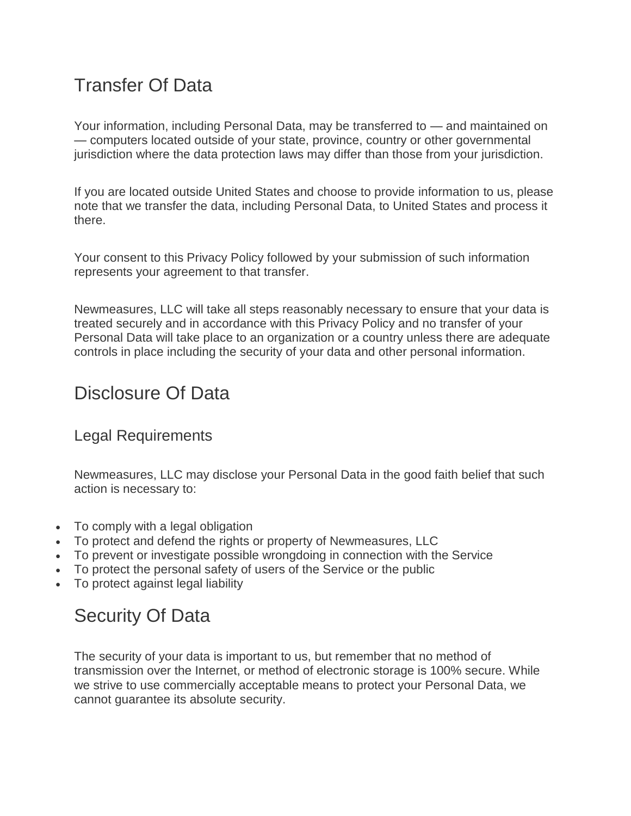# Transfer Of Data

Your information, including Personal Data, may be transferred to — and maintained on — computers located outside of your state, province, country or other governmental jurisdiction where the data protection laws may differ than those from your jurisdiction.

If you are located outside United States and choose to provide information to us, please note that we transfer the data, including Personal Data, to United States and process it there.

Your consent to this Privacy Policy followed by your submission of such information represents your agreement to that transfer.

Newmeasures, LLC will take all steps reasonably necessary to ensure that your data is treated securely and in accordance with this Privacy Policy and no transfer of your Personal Data will take place to an organization or a country unless there are adequate controls in place including the security of your data and other personal information.

#### Disclosure Of Data

#### Legal Requirements

Newmeasures, LLC may disclose your Personal Data in the good faith belief that such action is necessary to:

- To comply with a legal obligation
- To protect and defend the rights or property of Newmeasures, LLC
- To prevent or investigate possible wrongdoing in connection with the Service
- To protect the personal safety of users of the Service or the public
- To protect against legal liability

#### Security Of Data

The security of your data is important to us, but remember that no method of transmission over the Internet, or method of electronic storage is 100% secure. While we strive to use commercially acceptable means to protect your Personal Data, we cannot guarantee its absolute security.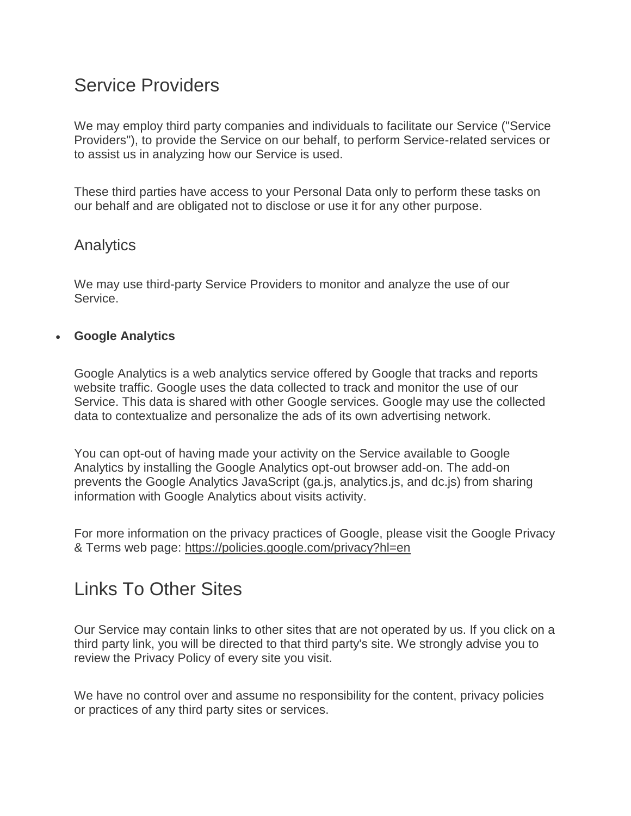### Service Providers

We may employ third party companies and individuals to facilitate our Service ("Service Providers"), to provide the Service on our behalf, to perform Service-related services or to assist us in analyzing how our Service is used.

These third parties have access to your Personal Data only to perform these tasks on our behalf and are obligated not to disclose or use it for any other purpose.

#### **Analytics**

We may use third-party Service Providers to monitor and analyze the use of our Service.

#### • **Google Analytics**

Google Analytics is a web analytics service offered by Google that tracks and reports website traffic. Google uses the data collected to track and monitor the use of our Service. This data is shared with other Google services. Google may use the collected data to contextualize and personalize the ads of its own advertising network.

You can opt-out of having made your activity on the Service available to Google Analytics by installing the Google Analytics opt-out browser add-on. The add-on prevents the Google Analytics JavaScript (ga.js, analytics.js, and dc.js) from sharing information with Google Analytics about visits activity.

For more information on the privacy practices of Google, please visit the Google Privacy & Terms web page: <https://policies.google.com/privacy?hl=en>

#### Links To Other Sites

Our Service may contain links to other sites that are not operated by us. If you click on a third party link, you will be directed to that third party's site. We strongly advise you to review the Privacy Policy of every site you visit.

We have no control over and assume no responsibility for the content, privacy policies or practices of any third party sites or services.